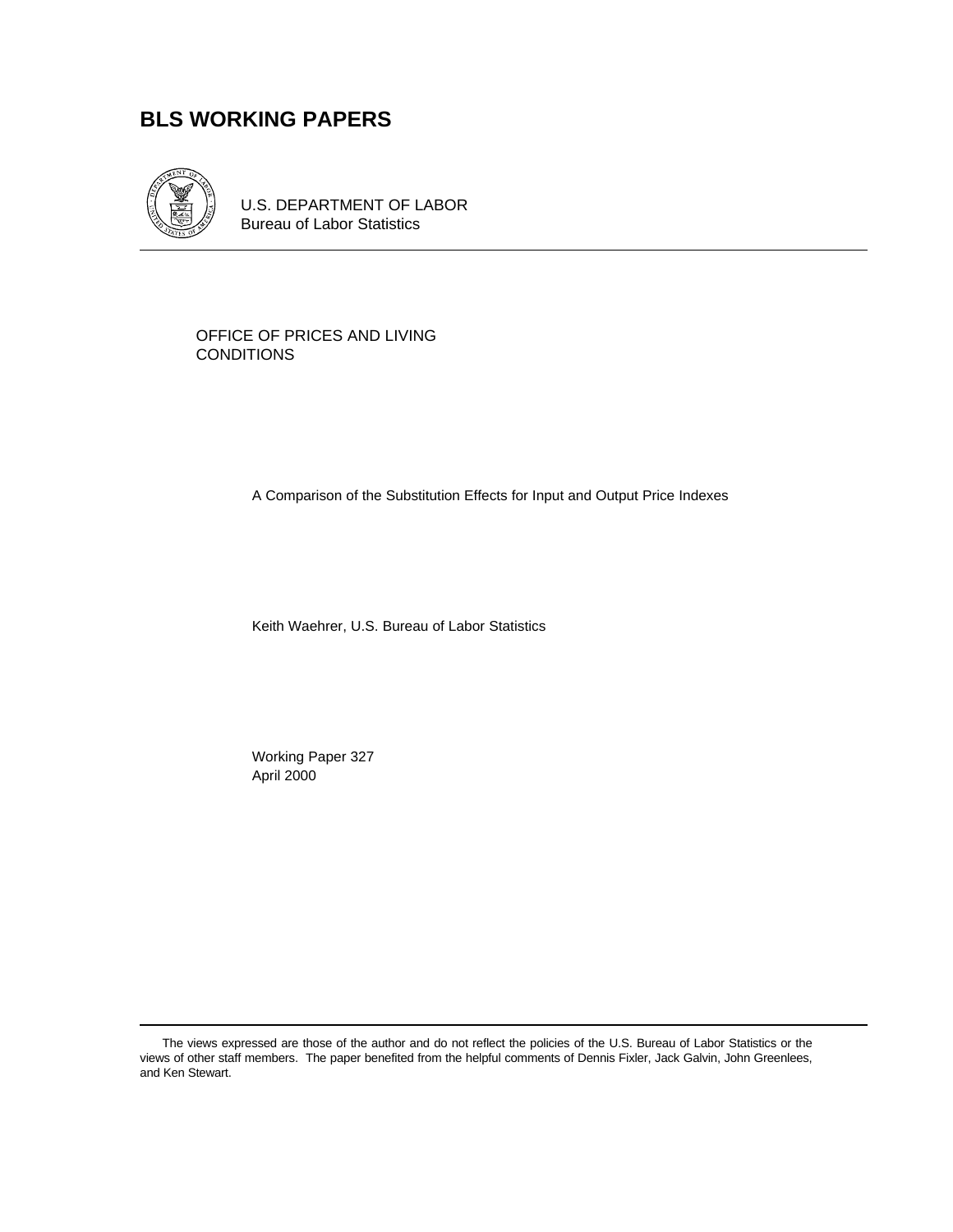# **BLS WORKING PAPERS**



U.S. DEPARTMENT OF LABOR Bureau of Labor Statistics

OFFICE OF PRICES AND LIVING CONDITIONS

A Comparison of the Substitution Effects for Input and Output Price Indexes

Keith Waehrer, U.S. Bureau of Labor Statistics

Working Paper 327 April 2000

The views expressed are those of the author and do not reflect the policies of the U.S. Bureau of Labor Statistics or the views of other staff members. The paper benefited from the helpful comments of Dennis Fixler, Jack Galvin, John Greenlees, and Ken Stewart.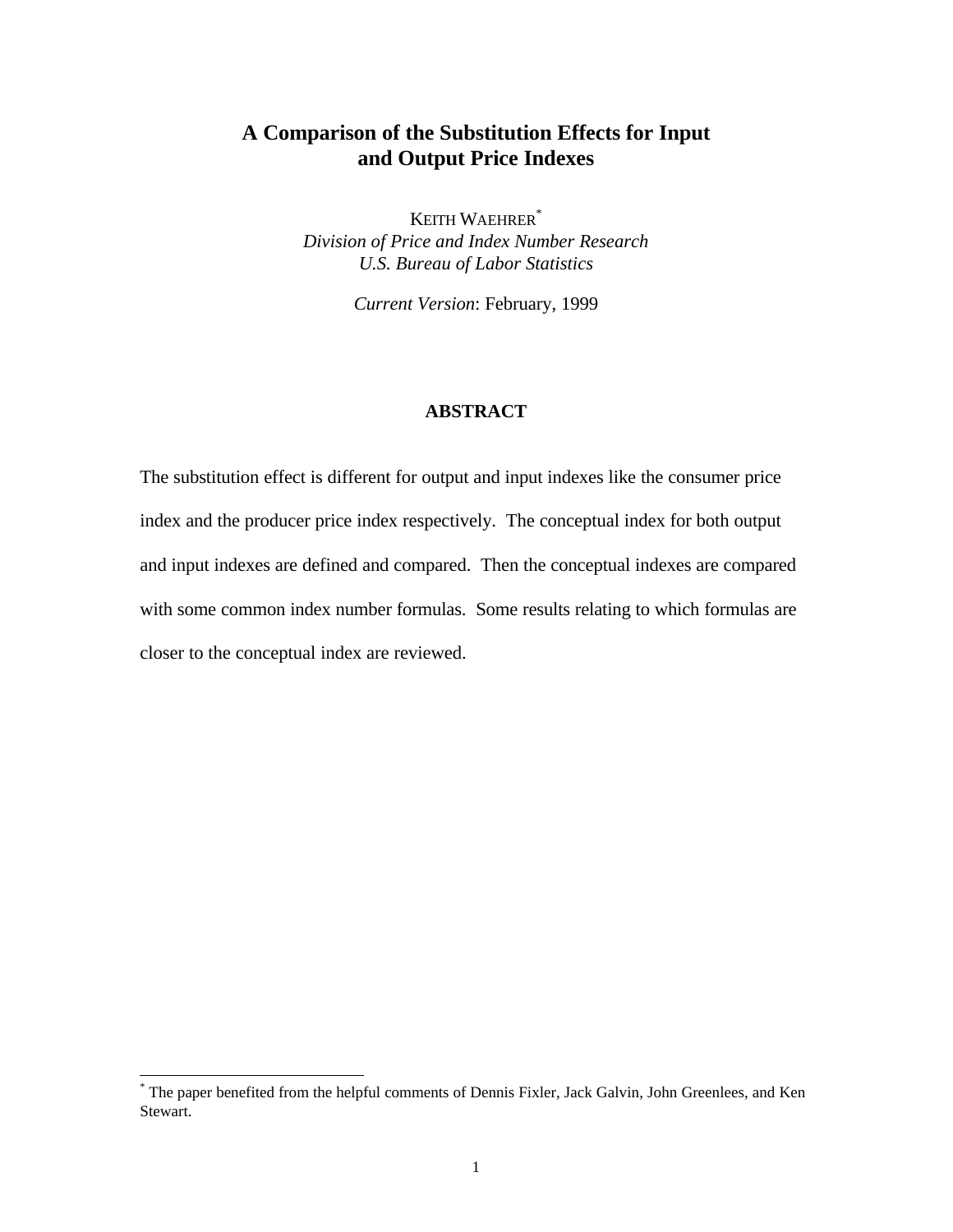## **A Comparison of the Substitution Effects for Input and Output Price Indexes**

KEITH WAEHRER\* *Division of Price and Index Number Research U.S. Bureau of Labor Statistics*

*Current Version*: February, 1999

### **ABSTRACT**

The substitution effect is different for output and input indexes like the consumer price index and the producer price index respectively. The conceptual index for both output and input indexes are defined and compared. Then the conceptual indexes are compared with some common index number formulas. Some results relating to which formulas are closer to the conceptual index are reviewed.

<sup>\*</sup> The paper benefited from the helpful comments of Dennis Fixler, Jack Galvin, John Greenlees, and Ken Stewart.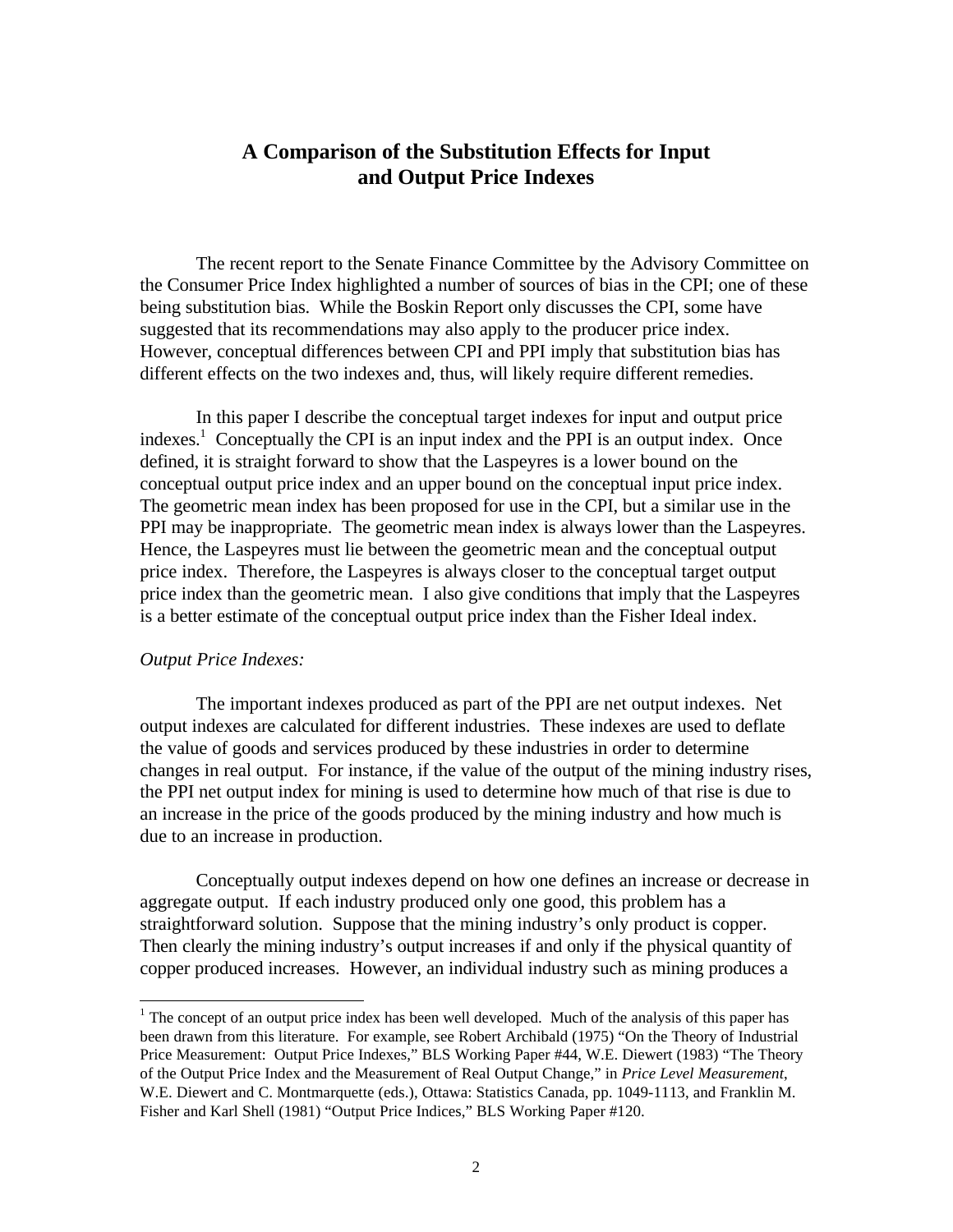## **A Comparison of the Substitution Effects for Input and Output Price Indexes**

The recent report to the Senate Finance Committee by the Advisory Committee on the Consumer Price Index highlighted a number of sources of bias in the CPI; one of these being substitution bias. While the Boskin Report only discusses the CPI, some have suggested that its recommendations may also apply to the producer price index. However, conceptual differences between CPI and PPI imply that substitution bias has different effects on the two indexes and, thus, will likely require different remedies.

In this paper I describe the conceptual target indexes for input and output price indexes.<sup>1</sup> Conceptually the CPI is an input index and the PPI is an output index. Once defined, it is straight forward to show that the Laspeyres is a lower bound on the conceptual output price index and an upper bound on the conceptual input price index. The geometric mean index has been proposed for use in the CPI, but a similar use in the PPI may be inappropriate. The geometric mean index is always lower than the Laspeyres. Hence, the Laspeyres must lie between the geometric mean and the conceptual output price index. Therefore, the Laspeyres is always closer to the conceptual target output price index than the geometric mean. I also give conditions that imply that the Laspeyres is a better estimate of the conceptual output price index than the Fisher Ideal index.

#### *Output Price Indexes:*

-

The important indexes produced as part of the PPI are net output indexes. Net output indexes are calculated for different industries. These indexes are used to deflate the value of goods and services produced by these industries in order to determine changes in real output. For instance, if the value of the output of the mining industry rises, the PPI net output index for mining is used to determine how much of that rise is due to an increase in the price of the goods produced by the mining industry and how much is due to an increase in production.

Conceptually output indexes depend on how one defines an increase or decrease in aggregate output. If each industry produced only one good, this problem has a straightforward solution. Suppose that the mining industry's only product is copper. Then clearly the mining industry's output increases if and only if the physical quantity of copper produced increases. However, an individual industry such as mining produces a

 $<sup>1</sup>$  The concept of an output price index has been well developed. Much of the analysis of this paper has</sup> been drawn from this literature. For example, see Robert Archibald (1975) "On the Theory of Industrial Price Measurement: Output Price Indexes," BLS Working Paper #44, W.E. Diewert (1983) "The Theory of the Output Price Index and the Measurement of Real Output Change," in *Price Level Measurement*, W.E. Diewert and C. Montmarquette (eds.), Ottawa: Statistics Canada, pp. 1049-1113, and Franklin M. Fisher and Karl Shell (1981) "Output Price Indices," BLS Working Paper #120.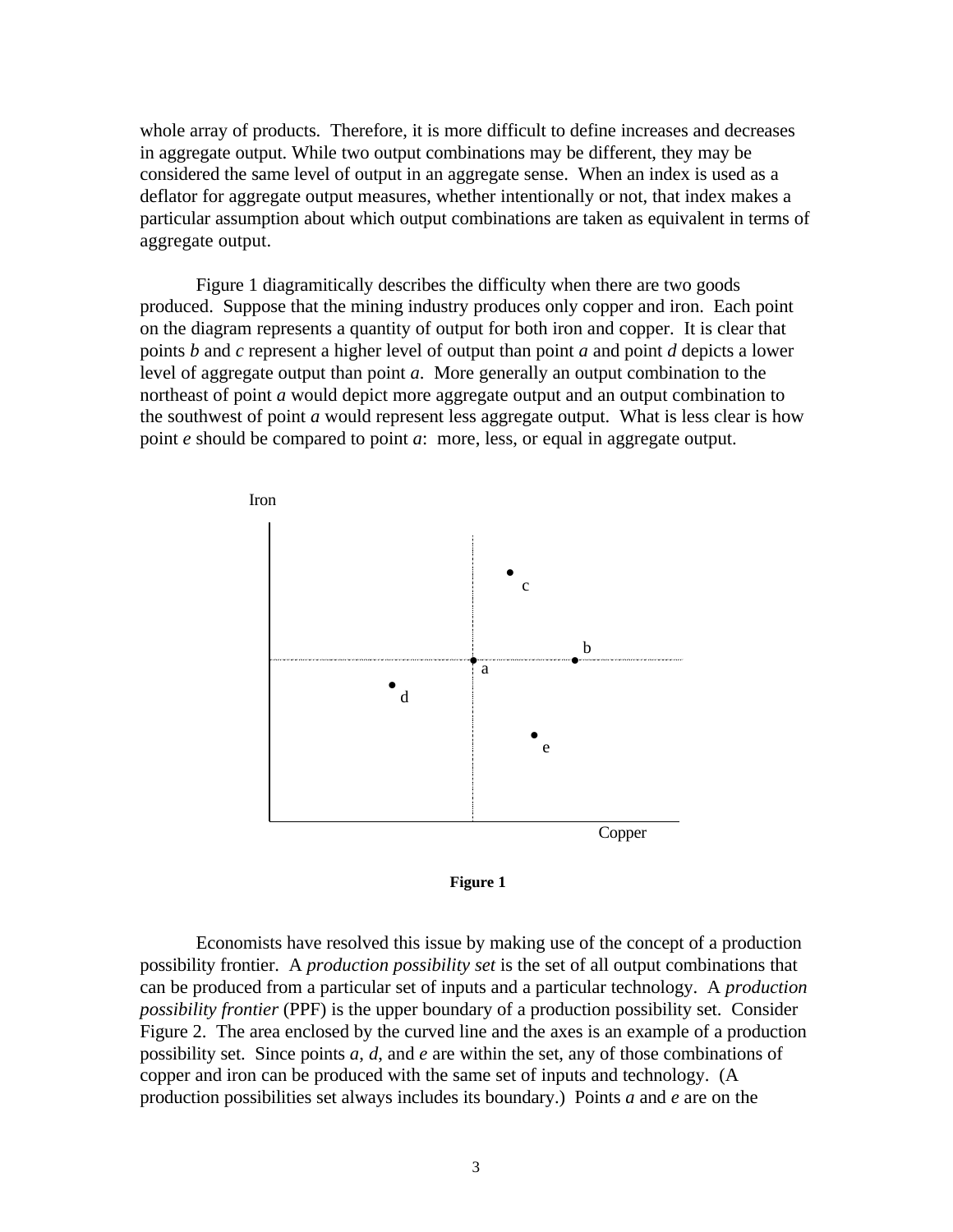whole array of products. Therefore, it is more difficult to define increases and decreases in aggregate output. While two output combinations may be different, they may be considered the same level of output in an aggregate sense. When an index is used as a deflator for aggregate output measures, whether intentionally or not, that index makes a particular assumption about which output combinations are taken as equivalent in terms of aggregate output.

Figure 1 diagramitically describes the difficulty when there are two goods produced. Suppose that the mining industry produces only copper and iron. Each point on the diagram represents a quantity of output for both iron and copper. It is clear that points *b* and *c* represent a higher level of output than point *a* and point *d* depicts a lower level of aggregate output than point *a*. More generally an output combination to the northeast of point *a* would depict more aggregate output and an output combination to the southwest of point *a* would represent less aggregate output. What is less clear is how point *e* should be compared to point *a*: more, less, or equal in aggregate output.





Economists have resolved this issue by making use of the concept of a production possibility frontier. A *production possibility set* is the set of all output combinations that can be produced from a particular set of inputs and a particular technology. A *production possibility frontier* (PPF) is the upper boundary of a production possibility set. Consider Figure 2. The area enclosed by the curved line and the axes is an example of a production possibility set. Since points *a*, *d*, and *e* are within the set, any of those combinations of copper and iron can be produced with the same set of inputs and technology. (A production possibilities set always includes its boundary.) Points *a* and *e* are on the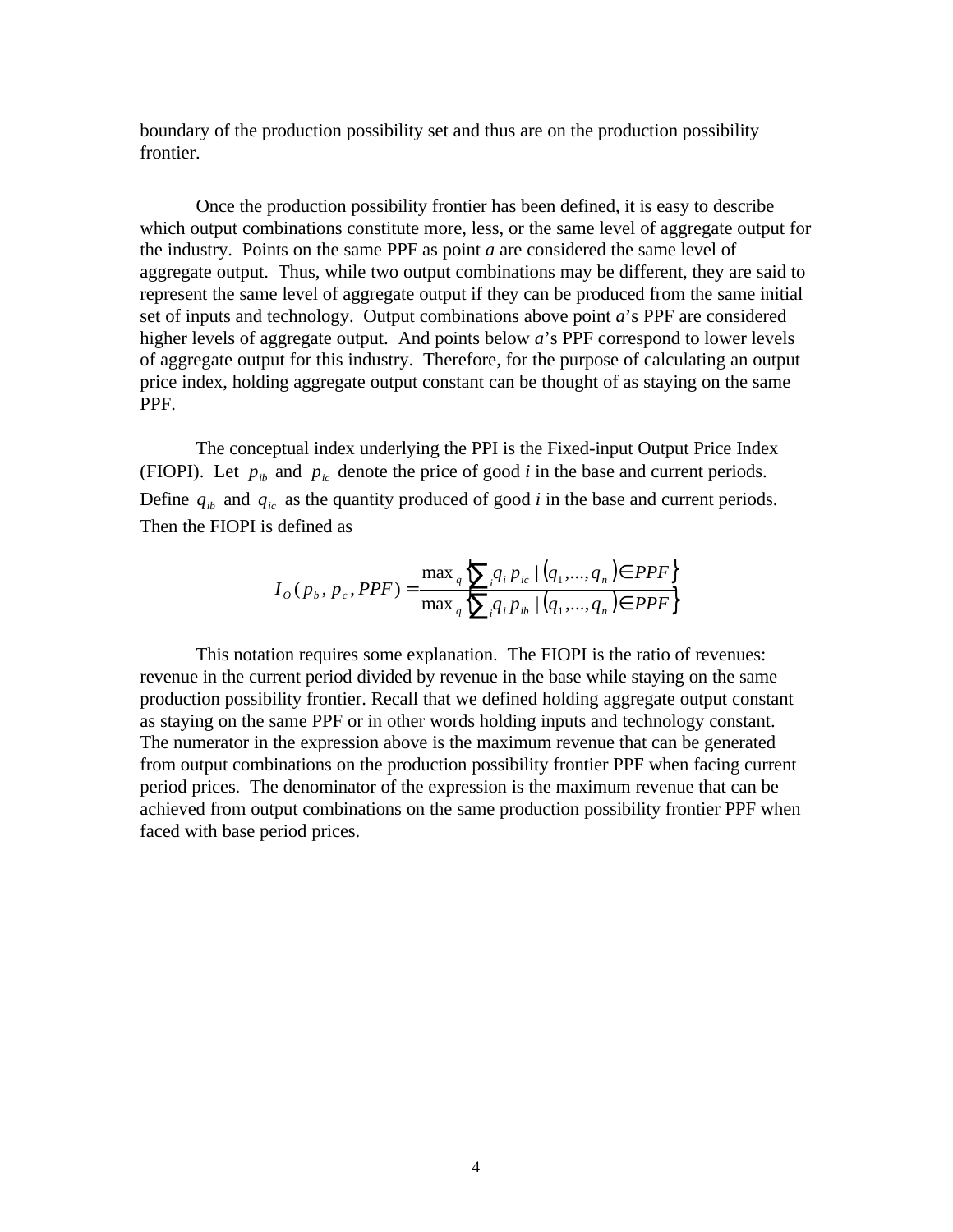boundary of the production possibility set and thus are on the production possibility frontier.

Once the production possibility frontier has been defined, it is easy to describe which output combinations constitute more, less, or the same level of aggregate output for the industry. Points on the same PPF as point *a* are considered the same level of aggregate output. Thus, while two output combinations may be different, they are said to represent the same level of aggregate output if they can be produced from the same initial set of inputs and technology. Output combinations above point *a*'s PPF are considered higher levels of aggregate output. And points below *a*'s PPF correspond to lower levels of aggregate output for this industry. Therefore, for the purpose of calculating an output price index, holding aggregate output constant can be thought of as staying on the same PPF.

The conceptual index underlying the PPI is the Fixed-input Output Price Index (FIOPI). Let  $p_{ib}$  and  $p_{ic}$  denote the price of good *i* in the base and current periods. Define  $q_{ib}$  and  $q_{ic}$  as the quantity produced of good *i* in the base and current periods. Then the FIOPI is defined as

$$
I_{o}(p_{b}, p_{c}, PPF) = \frac{\max_{q} \sum_{i} q_{i} p_{ic} |(q_{1}, ..., q_{n}) \in PPF}{\max_{q} \sum_{i} q_{i} p_{ib} |(q_{1}, ..., q_{n}) \in PPF}
$$

This notation requires some explanation. The FIOPI is the ratio of revenues: revenue in the current period divided by revenue in the base while staying on the same production possibility frontier. Recall that we defined holding aggregate output constant as staying on the same PPF or in other words holding inputs and technology constant. The numerator in the expression above is the maximum revenue that can be generated from output combinations on the production possibility frontier PPF when facing current period prices. The denominator of the expression is the maximum revenue that can be achieved from output combinations on the same production possibility frontier PPF when faced with base period prices.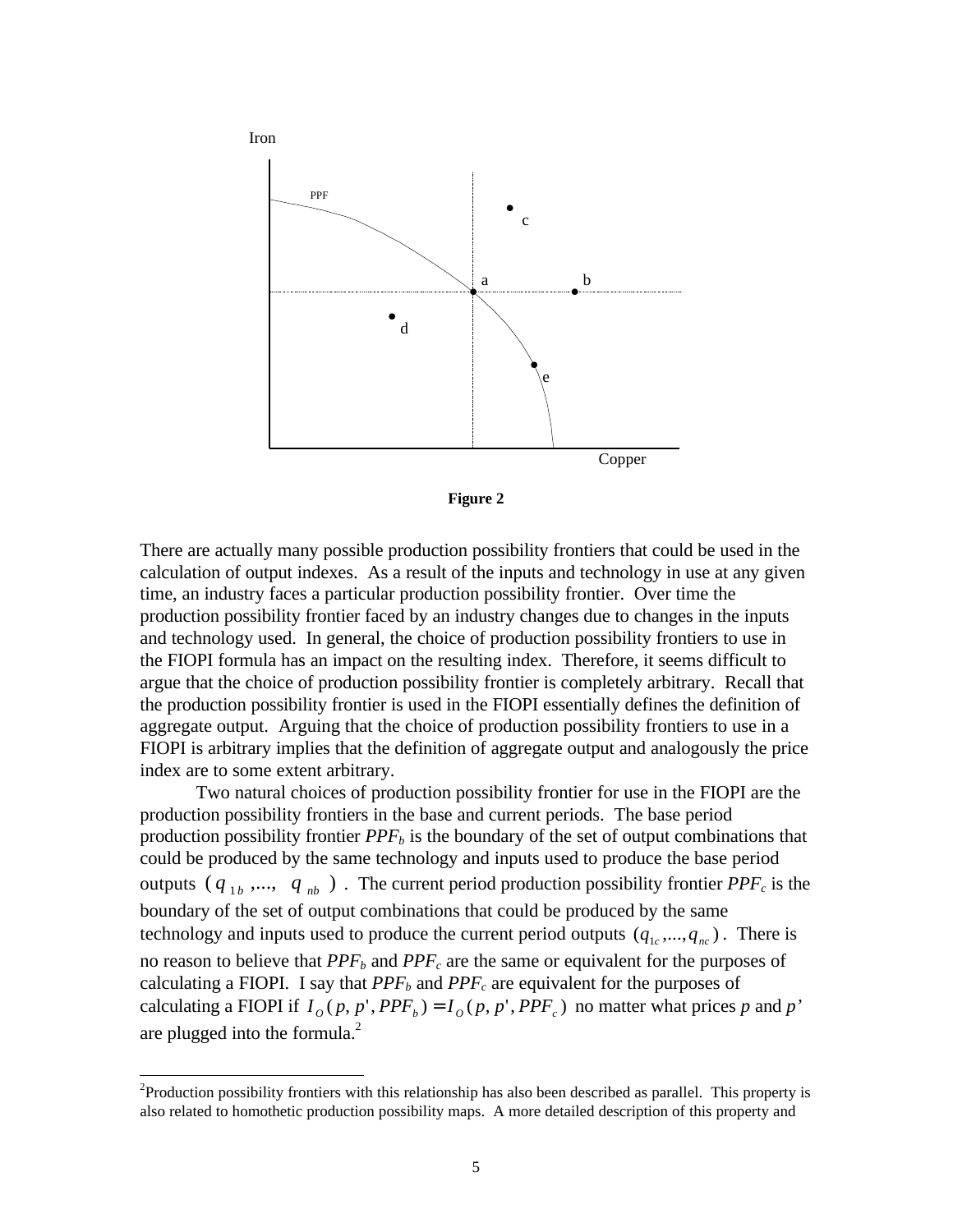



There are actually many possible production possibility frontiers that could be used in the calculation of output indexes. As a result of the inputs and technology in use at any given time, an industry faces a particular production possibility frontier. Over time the production possibility frontier faced by an industry changes due to changes in the inputs and technology used. In general, the choice of production possibility frontiers to use in the FIOPI formula has an impact on the resulting index. Therefore, it seems difficult to argue that the choice of production possibility frontier is completely arbitrary. Recall that the production possibility frontier is used in the FIOPI essentially defines the definition of aggregate output. Arguing that the choice of production possibility frontiers to use in a FIOPI is arbitrary implies that the definition of aggregate output and analogously the price index are to some extent arbitrary.

Two natural choices of production possibility frontier for use in the FIOPI are the production possibility frontiers in the base and current periods. The base period production possibility frontier *PPFb* is the boundary of the set of output combinations that could be produced by the same technology and inputs used to produce the base period outputs  $(q_{1b},..., q_{nb})$ . The current period production possibility frontier  $PPF_c$  is the boundary of the set of output combinations that could be produced by the same technology and inputs used to produce the current period outputs  $(q_{1c}, ..., q_{nc})$ . There is no reason to believe that *PPFb* and *PPFc* are the same or equivalent for the purposes of calculating a FIOPI. I say that  $PPF_b$  and  $PPF_c$  are equivalent for the purposes of calculating a FIOPI if  $I_o(p, p', PPF_b) = I_o(p, p', PPF_c)$  no matter what prices p and p' are plugged into the formula. $^{2}$ 

 $2^2$ Production possibility frontiers with this relationship has also been described as parallel. This property is also related to homothetic production possibility maps. A more detailed description of this property and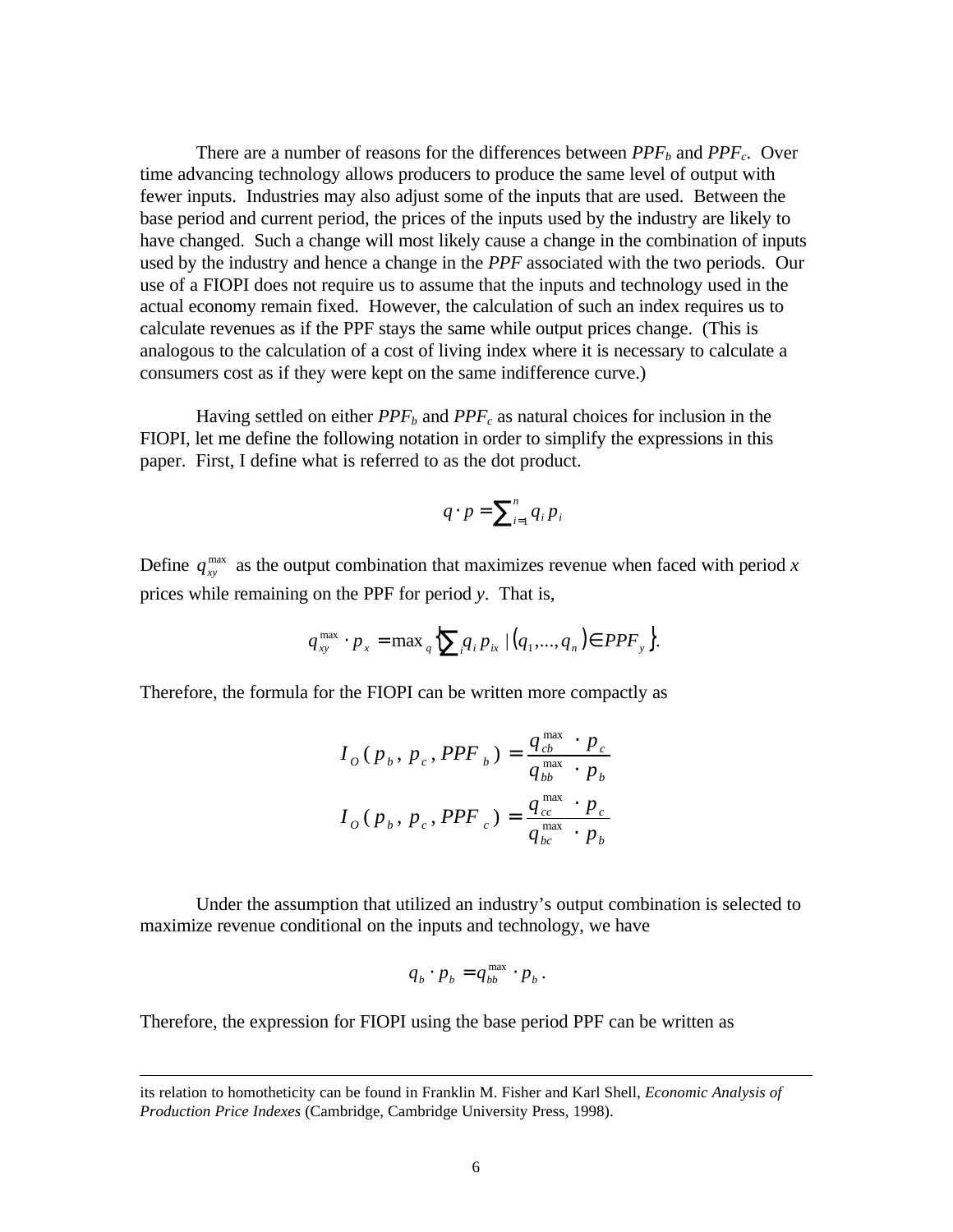There are a number of reasons for the differences between  $PPF_b$  and  $PPF_c$ . Over time advancing technology allows producers to produce the same level of output with fewer inputs. Industries may also adjust some of the inputs that are used. Between the base period and current period, the prices of the inputs used by the industry are likely to have changed. Such a change will most likely cause a change in the combination of inputs used by the industry and hence a change in the *PPF* associated with the two periods. Our use of a FIOPI does not require us to assume that the inputs and technology used in the actual economy remain fixed. However, the calculation of such an index requires us to calculate revenues as if the PPF stays the same while output prices change. (This is analogous to the calculation of a cost of living index where it is necessary to calculate a consumers cost as if they were kept on the same indifference curve.)

Having settled on either *PPFb* and *PPFc* as natural choices for inclusion in the FIOPI, let me define the following notation in order to simplify the expressions in this paper. First, I define what is referred to as the dot product.

$$
q \cdot p = \sum_{i=1}^n q_i p_i
$$

Define  $q_{xy}^{max}$  as the output combination that maximizes revenue when faced with period *x* prices while remaining on the PPF for period *y*. That is,

$$
q_{xy}^{\max} \cdot p_x = \max_{q} \left\{ \sum_{i} q_i p_{ix} \mid (q_1, ..., q_n) \in PPF_y \right\}.
$$

Therefore, the formula for the FIOPI can be written more compactly as

$$
I_o(p_b, p_c, PPF_b) = \frac{q_{cb}^{\max} \cdot p_c}{q_{bb}^{\max} \cdot p_b}
$$

$$
I_o(p_b, p_c, PPF_c) = \frac{q_{cc}^{\max} \cdot p_c}{q_{bc}^{\max} \cdot p_b}
$$

Under the assumption that utilized an industry's output combination is selected to maximize revenue conditional on the inputs and technology, we have

$$
q_b \cdot p_b = q_{bb}^{\max} \cdot p_b \, .
$$

Therefore, the expression for FIOPI using the base period PPF can be written as

its relation to homotheticity can be found in Franklin M. Fisher and Karl Shell, *Economic Analysis of Production Price Indexes* (Cambridge, Cambridge University Press, 1998).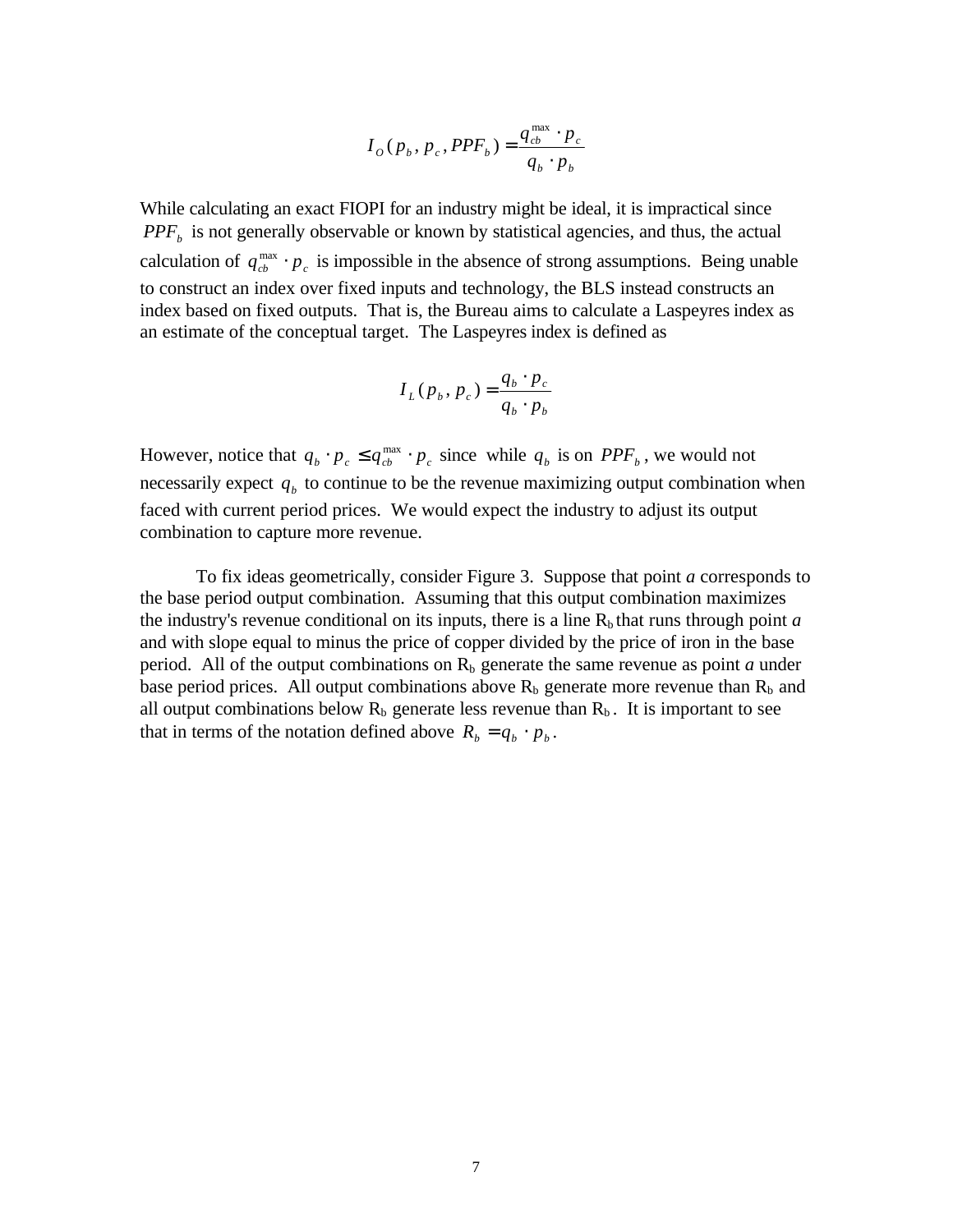$$
I_{o}(p_{b}, p_{c}, PPF_{b}) = \frac{q_{cb}^{\max} \cdot p_{c}}{q_{b} \cdot p_{b}}
$$

While calculating an exact FIOPI for an industry might be ideal, it is impractical since *PPF<sup>b</sup>* is not generally observable or known by statistical agencies, and thus, the actual calculation of  $q_{cb}^{\text{max}} \cdot p_c$  is impossible in the absence of strong assumptions. Being unable to construct an index over fixed inputs and technology, the BLS instead constructs an index based on fixed outputs. That is, the Bureau aims to calculate a Laspeyres index as an estimate of the conceptual target. The Laspeyres index is defined as

$$
I_L(p_b, p_c) = \frac{q_b \cdot p_c}{q_b \cdot p_b}
$$

However, notice that  $q_b \cdot p_c \leq q_{cb}^{\max} \cdot p_c$  since while  $q_b$  is on  $PPF_b$ , we would not necessarily expect  $q<sub>b</sub>$  to continue to be the revenue maximizing output combination when faced with current period prices. We would expect the industry to adjust its output combination to capture more revenue.

To fix ideas geometrically, consider Figure 3. Suppose that point *a* corresponds to the base period output combination. Assuming that this output combination maximizes the industry's revenue conditional on its inputs, there is a line  $R<sub>b</sub>$  that runs through point *a* and with slope equal to minus the price of copper divided by the price of iron in the base period. All of the output combinations on  $R<sub>b</sub>$  generate the same revenue as point *a* under base period prices. All output combinations above  $R_b$  generate more revenue than  $R_b$  and all output combinations below  $R_b$  generate less revenue than  $R_b$ . It is important to see that in terms of the notation defined above  $R_b = q_b \cdot p_b$ .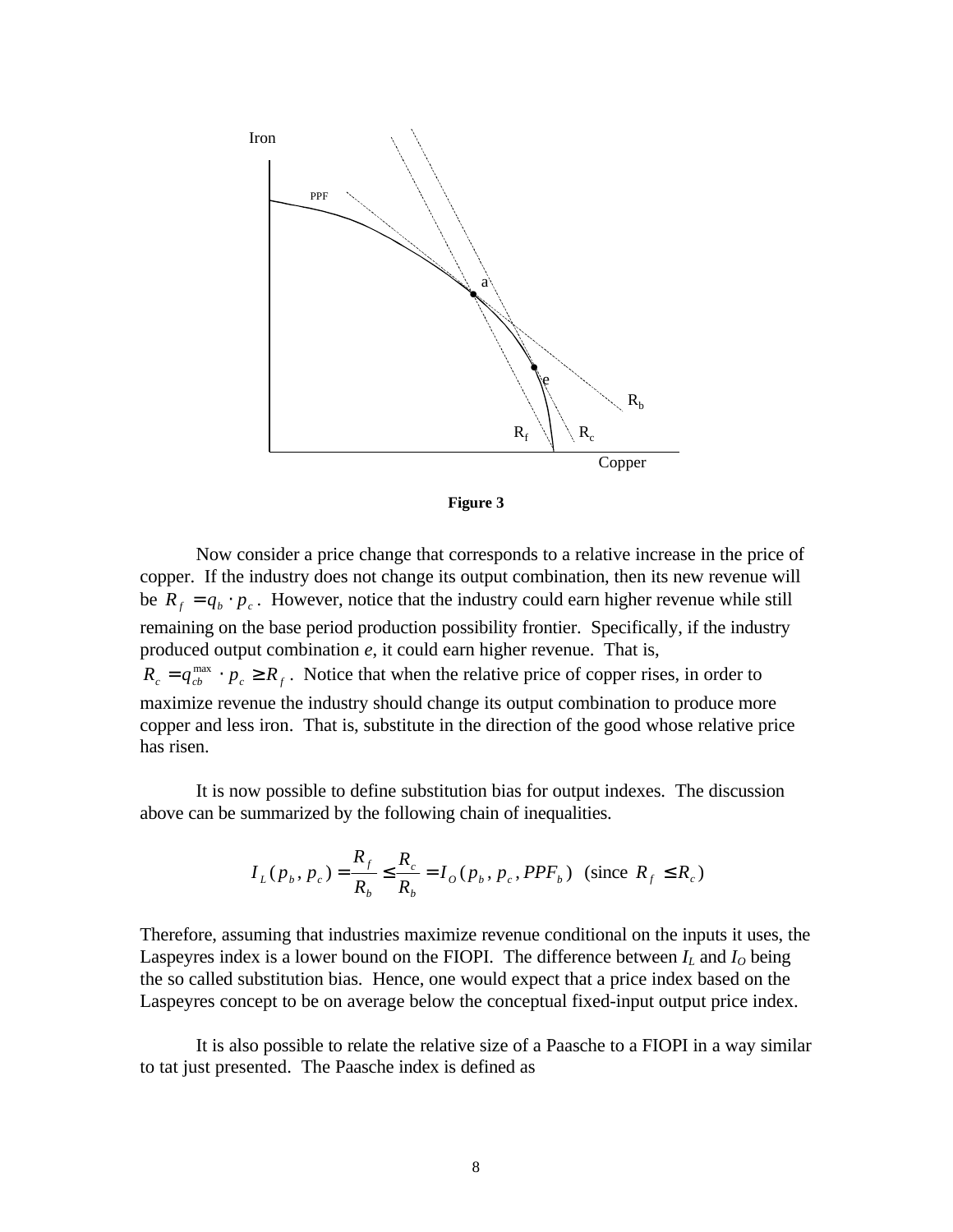



Now consider a price change that corresponds to a relative increase in the price of copper. If the industry does not change its output combination, then its new revenue will be  $R_f = q_b \cdot p_c$ . However, notice that the industry could earn higher revenue while still remaining on the base period production possibility frontier. Specifically, if the industry produced output combination *e*, it could earn higher revenue. That is,  $R_c = q_{cb}^{\text{max}} \cdot p_c \ge R_f$ . Notice that when the relative price of copper rises, in order to maximize revenue the industry should change its output combination to produce more copper and less iron. That is, substitute in the direction of the good whose relative price has risen.

It is now possible to define substitution bias for output indexes. The discussion above can be summarized by the following chain of inequalities.

$$
I_L(p_b, p_c) = \frac{R_f}{R_b} \le \frac{R_c}{R_b} = I_O(p_b, p_c, PPF_b) \text{ (since } R_f \le R_c)
$$

Therefore, assuming that industries maximize revenue conditional on the inputs it uses, the Laspeyres index is a lower bound on the FIOPI. The difference between  $I_L$  and  $I_O$  being the so called substitution bias. Hence, one would expect that a price index based on the Laspeyres concept to be on average below the conceptual fixed-input output price index.

It is also possible to relate the relative size of a Paasche to a FIOPI in a way similar to tat just presented. The Paasche index is defined as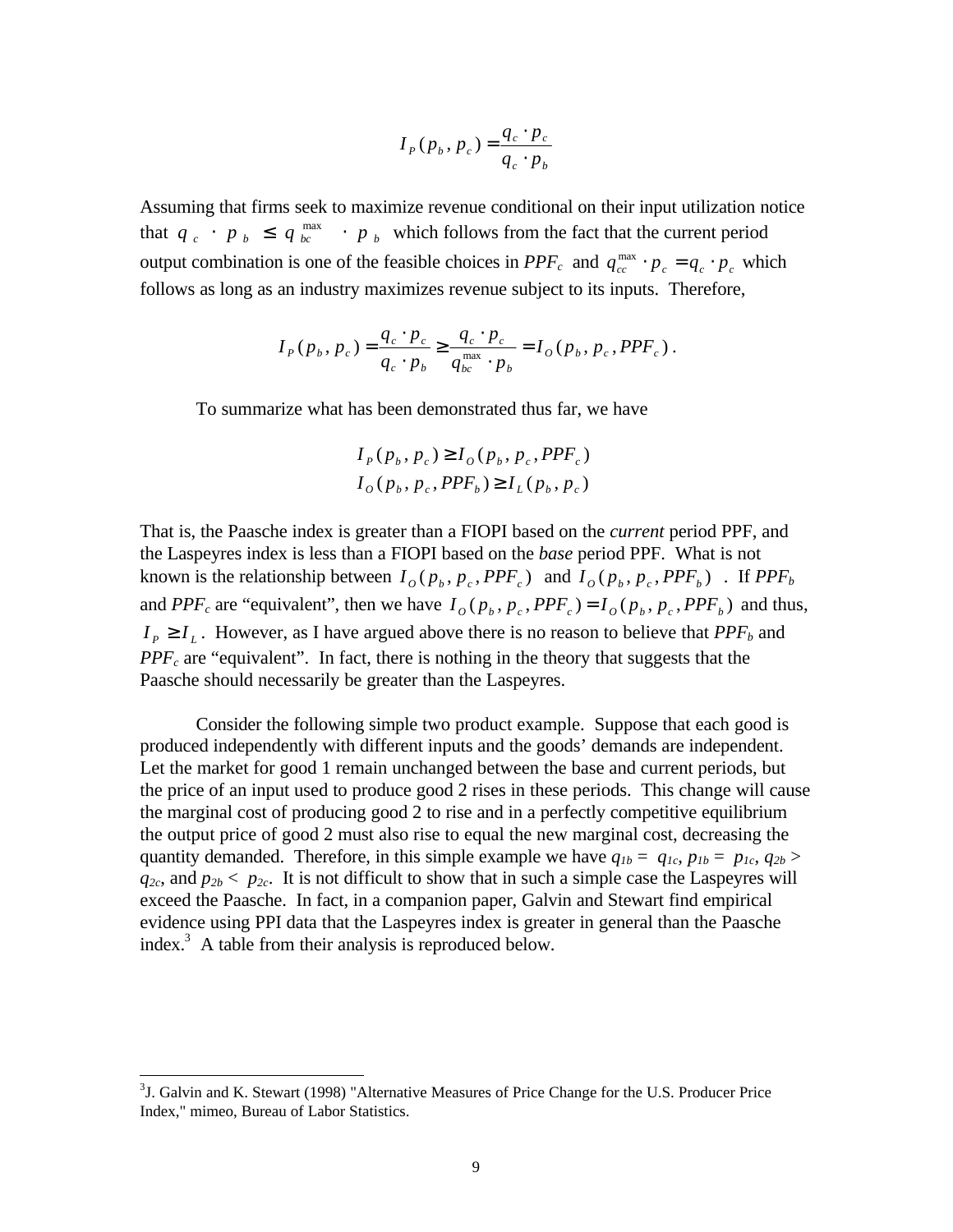$$
I_p(p_b, p_c) = \frac{q_c \cdot p_c}{q_c \cdot p_b}
$$

Assuming that firms seek to maximize revenue conditional on their input utilization notice that  $q_c \cdot p_b \leq q_{bc}^{\max} \cdot p_b$  which follows from the fact that the current period output combination is one of the feasible choices in  $PPF_c$  and  $q_{cc}^{max} \cdot p_c = q_c \cdot p_c$  which follows as long as an industry maximizes revenue subject to its inputs. Therefore,

$$
I_{P}(p_{b}, p_{c}) = \frac{q_{c} \cdot p_{c}}{q_{c} \cdot p_{b}} \ge \frac{q_{c} \cdot p_{c}}{q_{bc}^{\max} \cdot p_{b}} = I_{O}(p_{b}, p_{c}, PPF_{c}).
$$

To summarize what has been demonstrated thus far, we have

$$
I_p(p_b, p_c) \ge I_o(p_b, p_c, PPF_c)
$$
  

$$
I_o(p_b, p_c, PPF_b) \ge I_L(p_b, p_c)
$$

That is, the Paasche index is greater than a FIOPI based on the *current* period PPF, and the Laspeyres index is less than a FIOPI based on the *base* period PPF. What is not known is the relationship between  $I_o(p_b, p_c, PPF_c)$  and  $I_o(p_b, p_c, PPF_b)$ . If  $PPF_b$ and *PPF<sub>c</sub>* are "equivalent", then we have  $I_o(p_b, p_c, PPF_c) = I_o(p_b, p_c, PPF_b)$  and thus,  $I_P \geq I_L$ . However, as I have argued above there is no reason to believe that *PPF<sub>b</sub>* and *PPFc* are "equivalent". In fact, there is nothing in the theory that suggests that the Paasche should necessarily be greater than the Laspeyres.

Consider the following simple two product example. Suppose that each good is produced independently with different inputs and the goods' demands are independent. Let the market for good 1 remain unchanged between the base and current periods, but the price of an input used to produce good 2 rises in these periods. This change will cause the marginal cost of producing good 2 to rise and in a perfectly competitive equilibrium the output price of good 2 must also rise to equal the new marginal cost, decreasing the quantity demanded. Therefore, in this simple example we have  $q_{1b} = q_{1c}, p_{1b} = p_{1c}, q_{2b} >$  $q_{2c}$ , and  $p_{2b}$  <  $p_{2c}$ . It is not difficult to show that in such a simple case the Laspeyres will exceed the Paasche. In fact, in a companion paper, Galvin and Stewart find empirical evidence using PPI data that the Laspeyres index is greater in general than the Paasche index. $3$  A table from their analysis is reproduced below.

 $3J.$  Galvin and K. Stewart (1998) "Alternative Measures of Price Change for the U.S. Producer Price Index," mimeo, Bureau of Labor Statistics.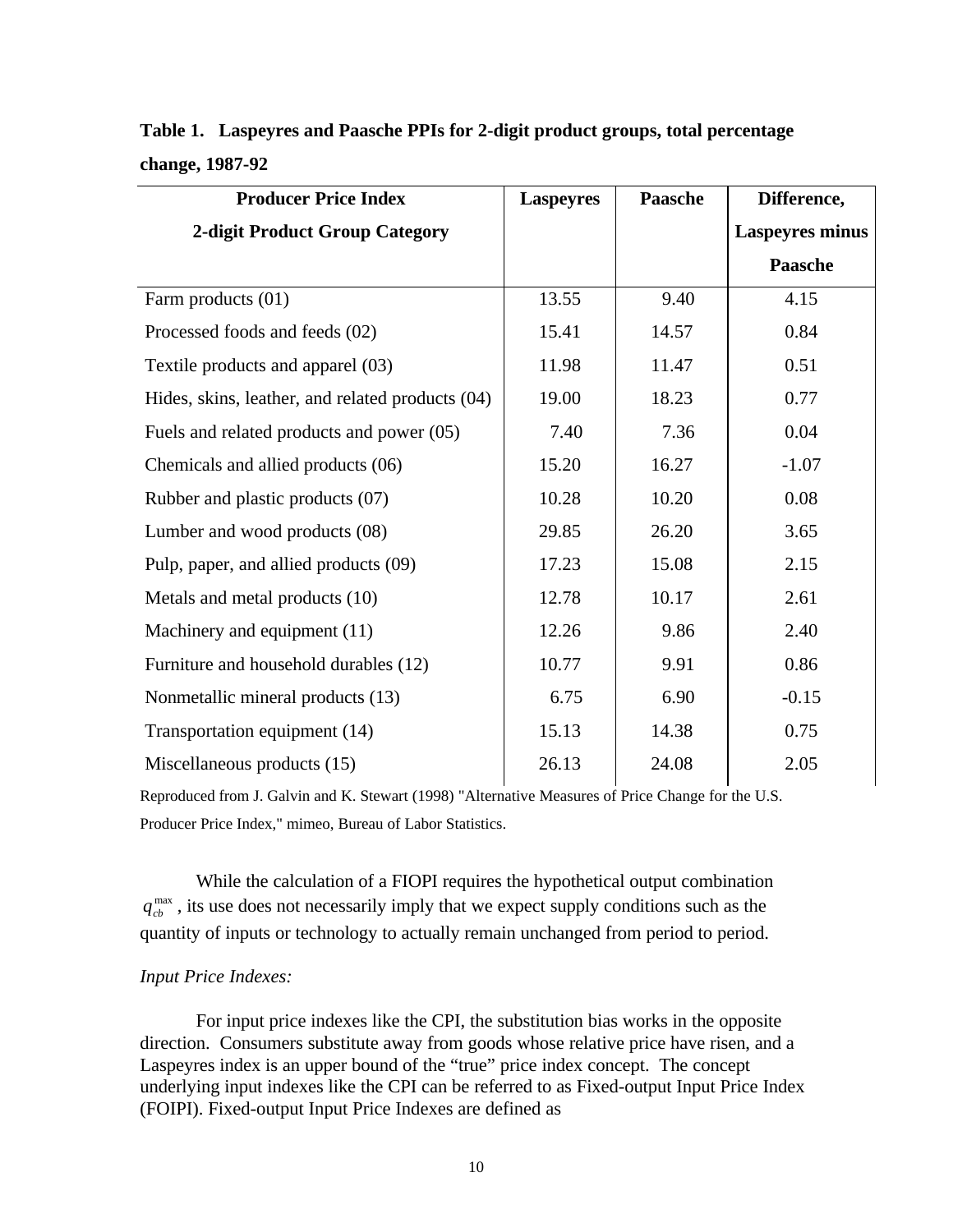| <b>Producer Price Index</b>                      | <b>Laspeyres</b> | <b>Paasche</b> | Difference,            |
|--------------------------------------------------|------------------|----------------|------------------------|
| <b>2-digit Product Group Category</b>            |                  |                | <b>Laspeyres minus</b> |
|                                                  |                  |                | Paasche                |
| Farm products (01)                               | 13.55            | 9.40           | 4.15                   |
| Processed foods and feeds (02)                   | 15.41            | 14.57          | 0.84                   |
| Textile products and apparel (03)                | 11.98            | 11.47          | 0.51                   |
| Hides, skins, leather, and related products (04) | 19.00            | 18.23          | 0.77                   |
| Fuels and related products and power (05)        | 7.40             | 7.36           | 0.04                   |
| Chemicals and allied products (06)               | 15.20            | 16.27          | $-1.07$                |
| Rubber and plastic products (07)                 | 10.28            | 10.20          | 0.08                   |
| Lumber and wood products (08)                    | 29.85            | 26.20          | 3.65                   |
| Pulp, paper, and allied products (09)            | 17.23            | 15.08          | 2.15                   |
| Metals and metal products (10)                   | 12.78            | 10.17          | 2.61                   |
| Machinery and equipment (11)                     | 12.26            | 9.86           | 2.40                   |
| Furniture and household durables (12)            | 10.77            | 9.91           | 0.86                   |
| Nonmetallic mineral products (13)                | 6.75             | 6.90           | $-0.15$                |
| Transportation equipment (14)                    | 15.13            | 14.38          | 0.75                   |
| Miscellaneous products (15)                      | 26.13            | 24.08          | 2.05                   |

# **Table 1. Laspeyres and Paasche PPIs for 2-digit product groups, total percentage change, 1987-92**

Reproduced from J. Galvin and K. Stewart (1998) "Alternative Measures of Price Change for the U.S. Producer Price Index," mimeo, Bureau of Labor Statistics.

While the calculation of a FIOPI requires the hypothetical output combination  $q_{cb}^{\text{max}}$ , its use does not necessarily imply that we expect supply conditions such as the quantity of inputs or technology to actually remain unchanged from period to period.

### *Input Price Indexes:*

For input price indexes like the CPI, the substitution bias works in the opposite direction. Consumers substitute away from goods whose relative price have risen, and a Laspeyres index is an upper bound of the "true" price index concept. The concept underlying input indexes like the CPI can be referred to as Fixed-output Input Price Index (FOIPI). Fixed-output Input Price Indexes are defined as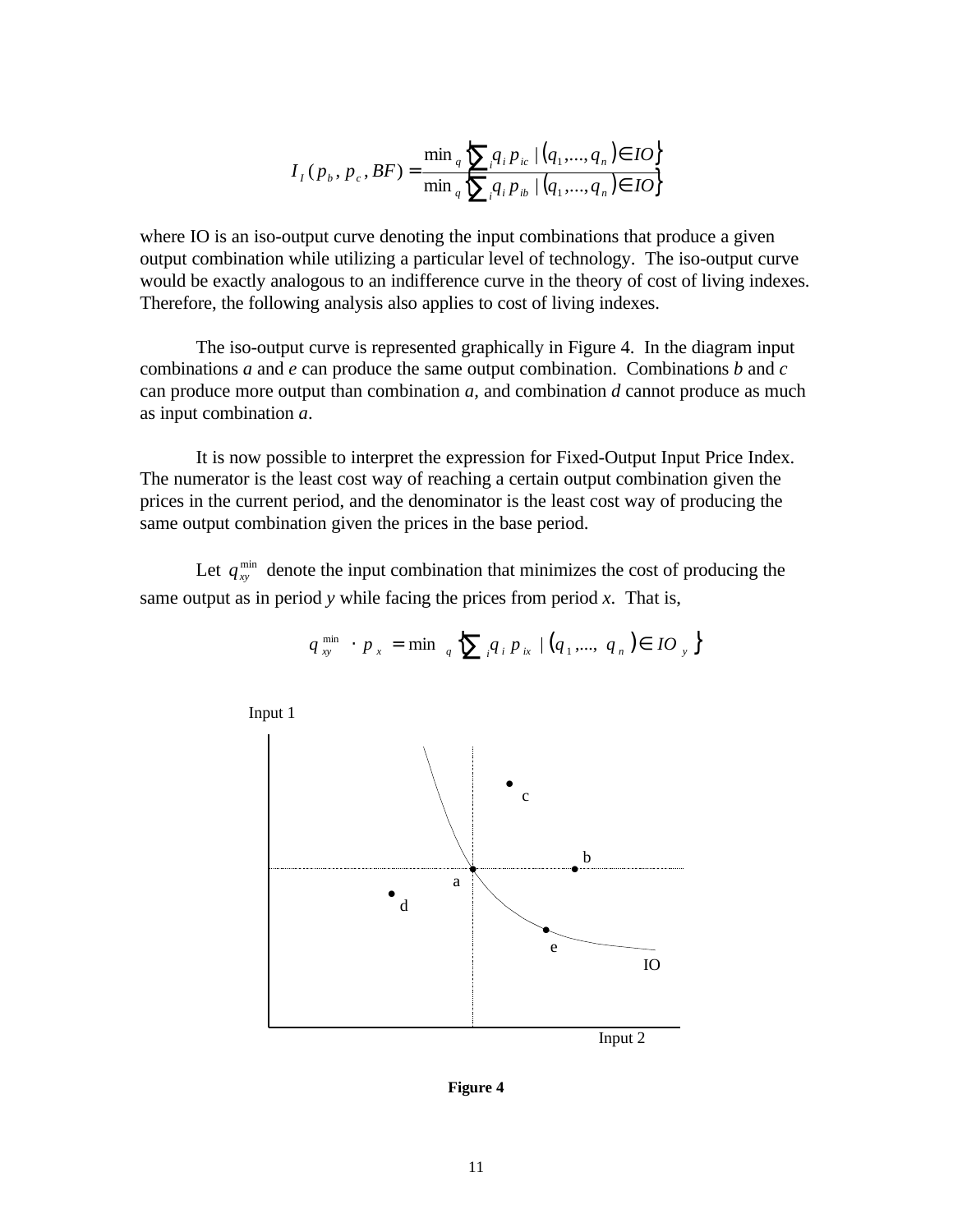$$
I_{I}(p_{b}, p_{c}, BF) = \frac{\min_{q} \left\{ \sum_{i} q_{i} p_{ic} \mid (q_{1}, ..., q_{n}) \in IO \right\}}{\min_{q} \left\{ \sum_{i} q_{i} p_{ib} \mid (q_{1}, ..., q_{n}) \in IO \right\}}
$$

where IO is an iso-output curve denoting the input combinations that produce a given output combination while utilizing a particular level of technology. The iso-output curve would be exactly analogous to an indifference curve in the theory of cost of living indexes. Therefore, the following analysis also applies to cost of living indexes.

The iso-output curve is represented graphically in Figure 4. In the diagram input combinations *a* and *e* can produce the same output combination. Combinations *b* and *c* can produce more output than combination *a,* and combination *d* cannot produce as much as input combination *a*.

It is now possible to interpret the expression for Fixed-Output Input Price Index. The numerator is the least cost way of reaching a certain output combination given the prices in the current period, and the denominator is the least cost way of producing the same output combination given the prices in the base period.

Let  $q_{xy}^{\min}$  denote the input combination that minimizes the cost of producing the same output as in period *y* while facing the prices from period *x*. That is,

$$
q_{xy}^{\min} \cdot p_x = \min_{q} \left\{ \sum_{i} q_i p_{ix} \mid (q_1, ..., q_n) \in IO_y \right\}
$$



**Figure 4**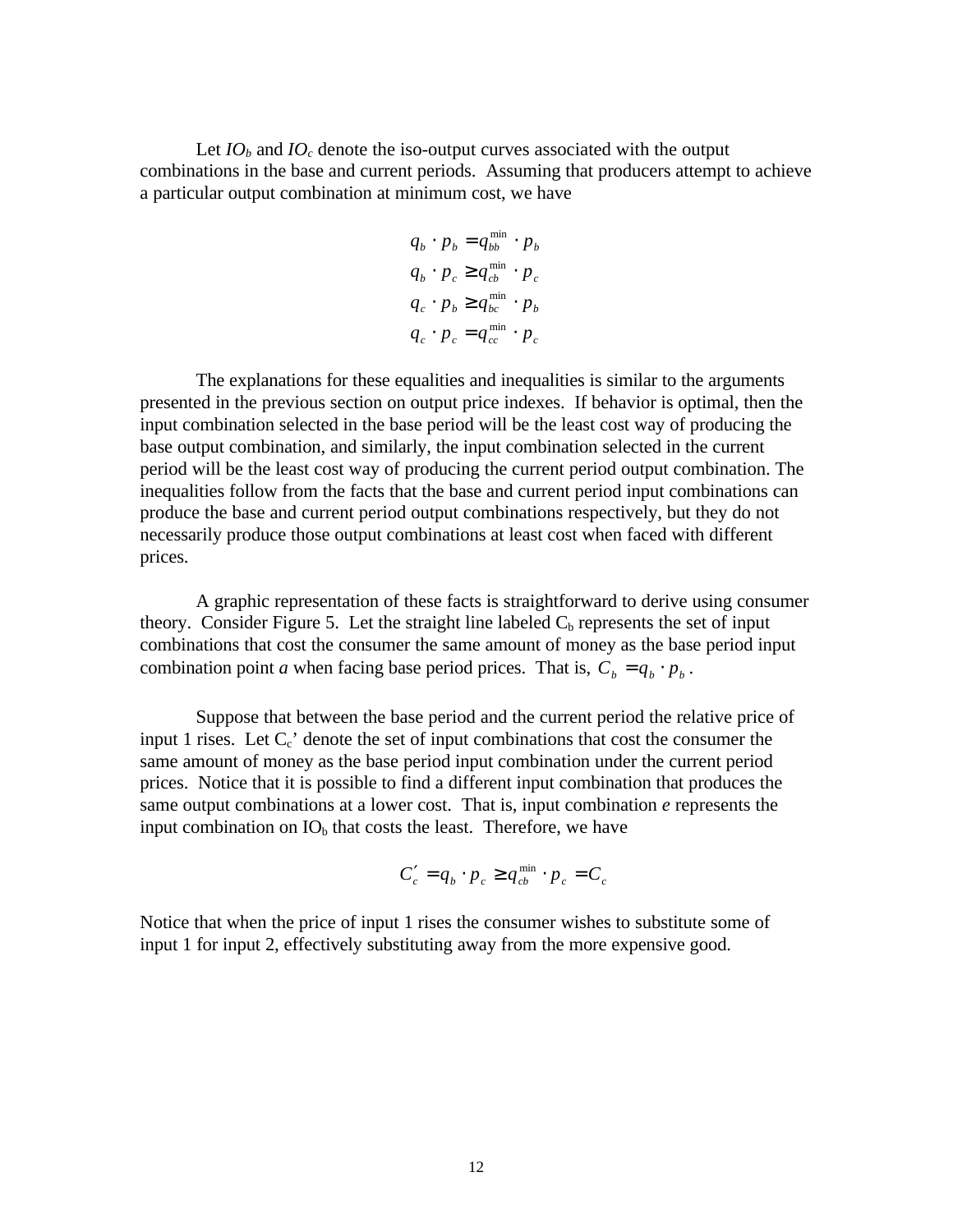Let  $IO_b$  and  $IO_c$  denote the iso-output curves associated with the output combinations in the base and current periods. Assuming that producers attempt to achieve a particular output combination at minimum cost, we have

$$
q_b \cdot p_b = q_{bb}^{\min} \cdot p_b
$$
  
\n
$$
q_b \cdot p_c \ge q_{cb}^{\min} \cdot p_c
$$
  
\n
$$
q_c \cdot p_b \ge q_{bc}^{\min} \cdot p_b
$$
  
\n
$$
q_c \cdot p_c = q_{cc}^{\min} \cdot p_c
$$

The explanations for these equalities and inequalities is similar to the arguments presented in the previous section on output price indexes. If behavior is optimal, then the input combination selected in the base period will be the least cost way of producing the base output combination, and similarly, the input combination selected in the current period will be the least cost way of producing the current period output combination. The inequalities follow from the facts that the base and current period input combinations can produce the base and current period output combinations respectively, but they do not necessarily produce those output combinations at least cost when faced with different prices.

A graphic representation of these facts is straightforward to derive using consumer theory. Consider Figure 5. Let the straight line labeled  $C<sub>b</sub>$  represents the set of input combinations that cost the consumer the same amount of money as the base period input combination point *a* when facing base period prices. That is,  $C_b = q_b \cdot p_b$ .

Suppose that between the base period and the current period the relative price of input 1 rises. Let  $C_c$  denote the set of input combinations that cost the consumer the same amount of money as the base period input combination under the current period prices. Notice that it is possible to find a different input combination that produces the same output combinations at a lower cost. That is, input combination *e* represents the input combination on  $IO<sub>b</sub>$  that costs the least. Therefore, we have

$$
C'_{c} = q_{b} \cdot p_{c} \geq q_{cb}^{\min} \cdot p_{c} = C_{c}
$$

Notice that when the price of input 1 rises the consumer wishes to substitute some of input 1 for input 2, effectively substituting away from the more expensive good.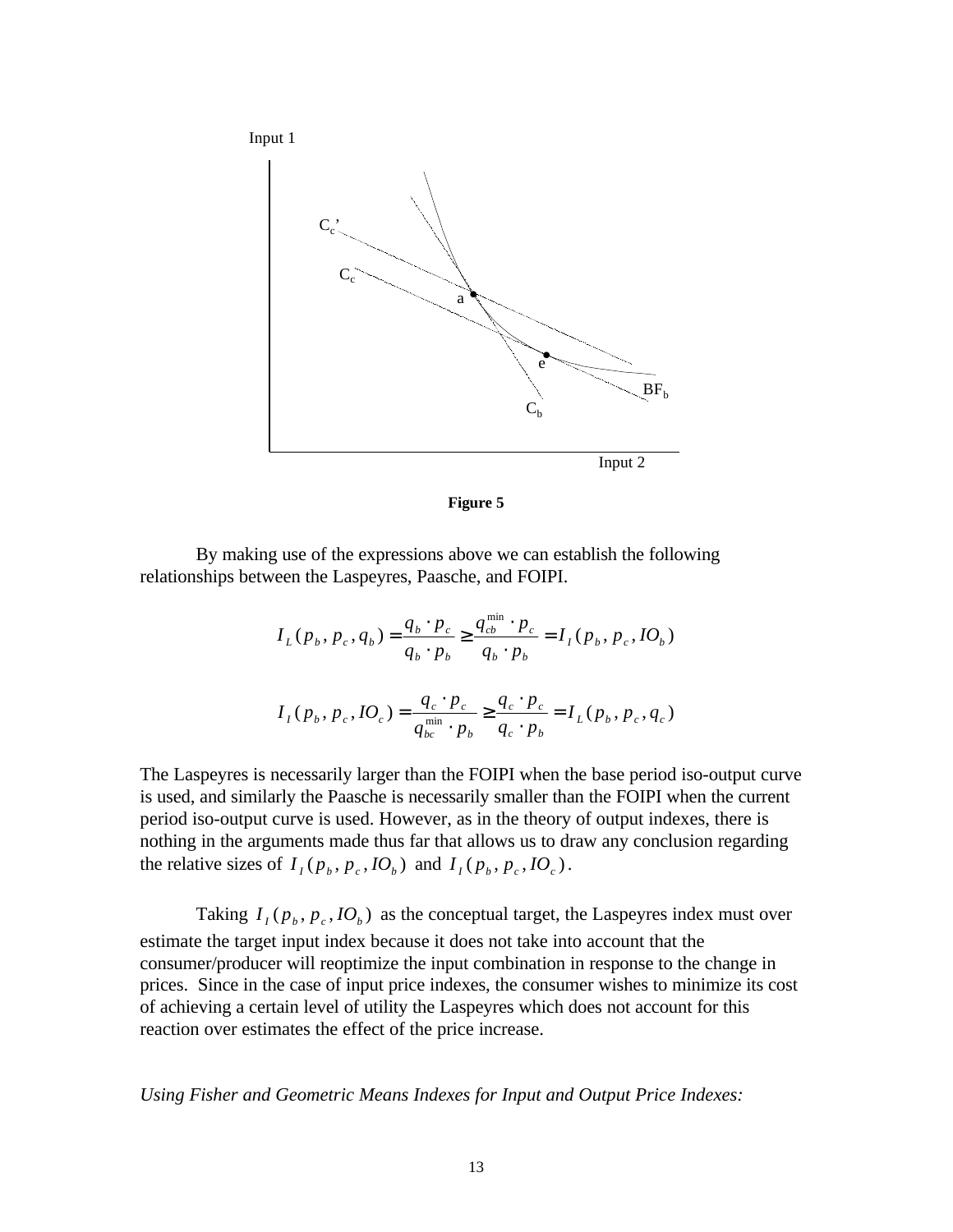



By making use of the expressions above we can establish the following relationships between the Laspeyres, Paasche, and FOIPI.

> $(p_b, p_c, q_b) = \frac{q_b + p_c}{r} \ge \frac{q_{cb} + p_c}{r} = I_I(p_b, p_c, IO_b)$ min  $I \backslash P_b$ ,  $P_c$ ,  $I \cup b$ *b b*  $cb$   $P_c$ *b b b c*  $L(p_b, p_c, q_b) = \frac{q_b \cdot p_c}{p_c} \ge \frac{q_{cb} \cdot p_c}{p_c} = I_l(p_b, p_c, IO)$  $q_b \cdot p$  $q_{ch}^{\min} \cdot p$  $q_b \cdot p$  $q_{L}(p_{b}, p_{c}, q_{b}) = \frac{q_{b} \cdot p_{c}}{2} \geq \frac{q_{cb}^{\min} \cdot p_{c}}{2} =$ ⋅ ⋅ ≥ ⋅ ⋅ =  $(p_b, p_c, IO_c) = \frac{q_c \cdot p_c}{q_{bc}^{\min} \cdot p_b} \geq \frac{q_c \cdot p_c}{q_c \cdot p_b} = I_L(p_b, p_c, q_c)$ *c c c c*  $I_I(p_b, p_c, IO_c) = \frac{q_c \cdot p_c}{\min} \ge \frac{q_c \cdot p_c}{\min} = I_L(p_b, p_c, q_c)$  $q_c \cdot p$  $q_c \cdot p$  $q_{bc}^{\min} \cdot p$  $I_i(p_b, p_c, IO_c) = \frac{q_c \cdot p_c}{m_e} \ge \frac{q_c \cdot p_c}{q_c} =$ ⋅ ⋅ ≥ ⋅ ⋅ =

The Laspeyres is necessarily larger than the FOIPI when the base period iso-output curve is used, and similarly the Paasche is necessarily smaller than the FOIPI when the current period iso-output curve is used. However, as in the theory of output indexes, there is nothing in the arguments made thus far that allows us to draw any conclusion regarding the relative sizes of  $I_I(p_b, p_c, IO_b)$  and  $I_I(p_b, p_c, IO_c)$ .

*bc*  $\cdot$   $\mu_b$ 

Taking  $I_I(p_b, p_c, IO_b)$  as the conceptual target, the Laspeyres index must over estimate the target input index because it does not take into account that the consumer/producer will reoptimize the input combination in response to the change in prices. Since in the case of input price indexes, the consumer wishes to minimize its cost of achieving a certain level of utility the Laspeyres which does not account for this reaction over estimates the effect of the price increase.

*Using Fisher and Geometric Means Indexes for Input and Output Price Indexes:*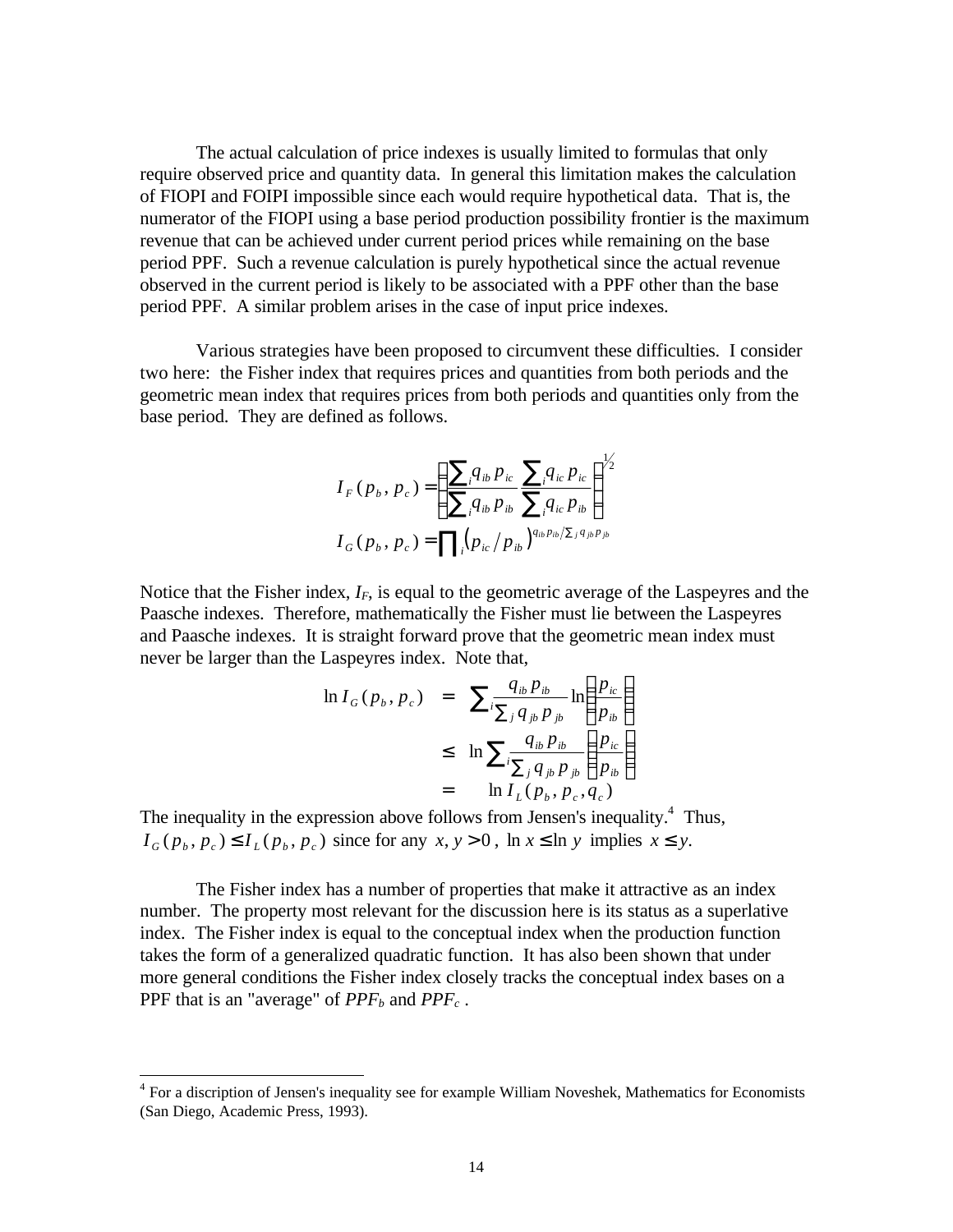The actual calculation of price indexes is usually limited to formulas that only require observed price and quantity data. In general this limitation makes the calculation of FIOPI and FOIPI impossible since each would require hypothetical data. That is, the numerator of the FIOPI using a base period production possibility frontier is the maximum revenue that can be achieved under current period prices while remaining on the base period PPF. Such a revenue calculation is purely hypothetical since the actual revenue observed in the current period is likely to be associated with a PPF other than the base period PPF. A similar problem arises in the case of input price indexes.

Various strategies have been proposed to circumvent these difficulties. I consider two here: the Fisher index that requires prices and quantities from both periods and the geometric mean index that requires prices from both periods and quantities only from the base period. They are defined as follows.

$$
I_{F}(p_{b}, p_{c}) = \left(\frac{\sum_{i} q_{ib} p_{ic}}{\sum_{i} q_{ib} p_{ib}} \frac{\sum_{i} q_{ic} p_{ic}}{\sum_{i} q_{ic} p_{ib}}\right)^{1/2}
$$

$$
I_{G}(p_{b}, p_{c}) = \prod_{i} (p_{ic} / p_{ib})^{q_{ib} p_{ib} / \sum_{j} q_{jb} p_{jb}}
$$

Notice that the Fisher index,  $I_F$ , is equal to the geometric average of the Laspeyres and the Paasche indexes. Therefore, mathematically the Fisher must lie between the Laspeyres and Paasche indexes. It is straight forward prove that the geometric mean index must never be larger than the Laspeyres index. Note that,

$$
\ln I_G(p_b, p_c) = \sum_{i} \frac{q_{ib} p_{ib}}{\sum_j q_{jb} p_{jb}} \ln \left( \frac{p_{ic}}{p_{ib}} \right)
$$
  
\n
$$
\leq \ln \sum_{i} \frac{q_{ib} p_{ib}}{\sum_j q_{jb} p_{jb}} \left( \frac{p_{ic}}{p_{ib}} \right)
$$
  
\n
$$
= \ln I_L(p_b, p_c, q_c)
$$

The inequality in the expression above follows from Jensen's inequality.<sup>4</sup> Thus,  $I_G(p_b, p_c) \leq I_L(p_b, p_c)$  since for any  $x, y > 0$ , ln  $x \leq \ln y$  implies  $x \leq y$ .

The Fisher index has a number of properties that make it attractive as an index number. The property most relevant for the discussion here is its status as a superlative index. The Fisher index is equal to the conceptual index when the production function takes the form of a generalized quadratic function. It has also been shown that under more general conditions the Fisher index closely tracks the conceptual index bases on a PPF that is an "average" of *PPFb* and *PPFc* .

 $\overline{a}$ 

<sup>&</sup>lt;sup>4</sup> For a discription of Jensen's inequality see for example William Noveshek, Mathematics for Economists (San Diego, Academic Press, 1993).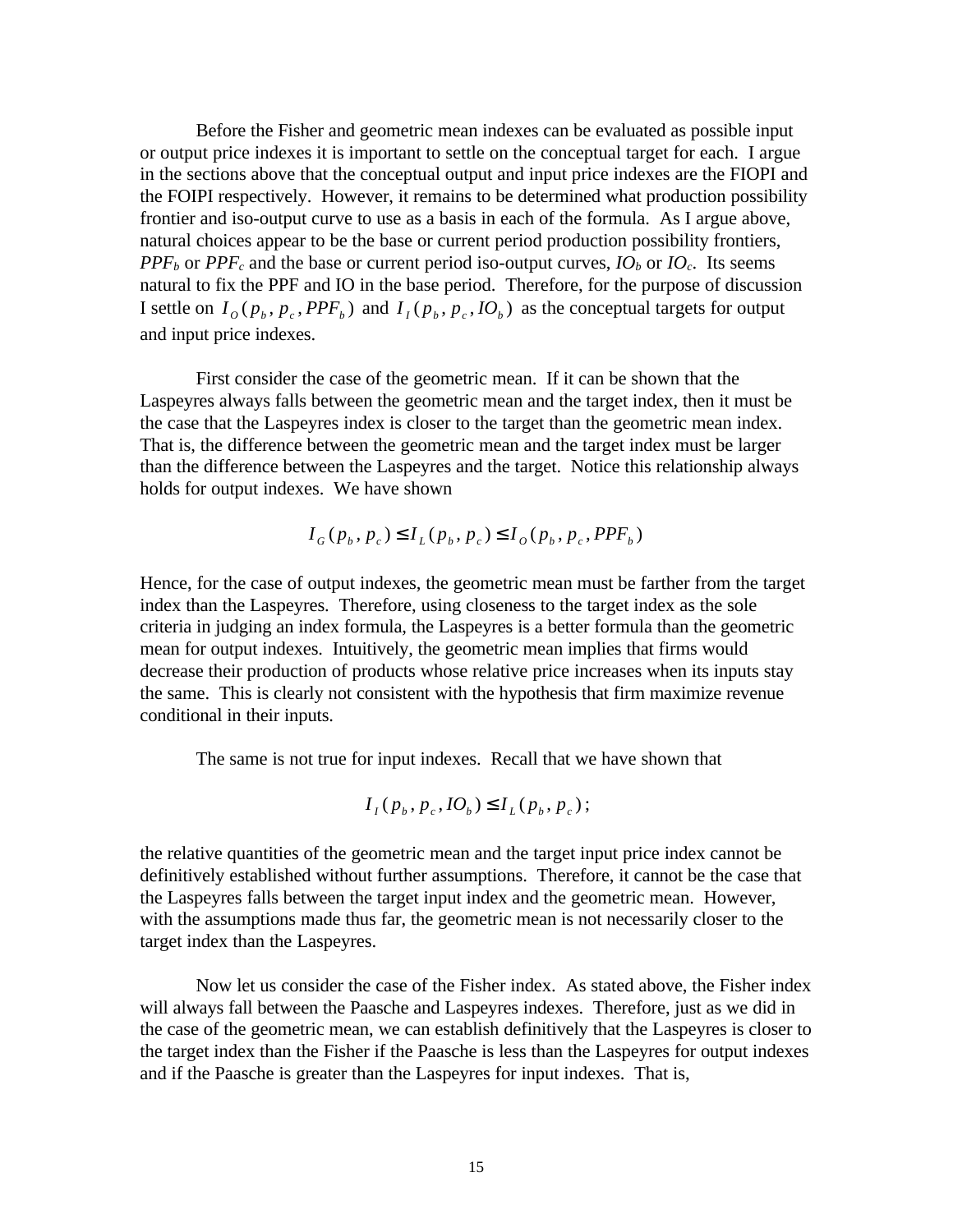Before the Fisher and geometric mean indexes can be evaluated as possible input or output price indexes it is important to settle on the conceptual target for each. I argue in the sections above that the conceptual output and input price indexes are the FIOPI and the FOIPI respectively. However, it remains to be determined what production possibility frontier and iso-output curve to use as a basis in each of the formula. As I argue above, natural choices appear to be the base or current period production possibility frontiers, *PPF*<sub>*b*</sub> or *PPF*<sub>*c*</sub> and the base or current period iso-output curves,  $IO_b$  or  $IO_c$ . Its seems natural to fix the PPF and IO in the base period. Therefore, for the purpose of discussion I settle on  $I_o(p_b, p_c, PPF_b)$  and  $I_I(p_b, p_c, IO_b)$  as the conceptual targets for output and input price indexes.

First consider the case of the geometric mean. If it can be shown that the Laspeyres always falls between the geometric mean and the target index, then it must be the case that the Laspeyres index is closer to the target than the geometric mean index. That is, the difference between the geometric mean and the target index must be larger than the difference between the Laspeyres and the target. Notice this relationship always holds for output indexes. We have shown

$$
I_{G}(p_{b}, p_{c}) \leq I_{L}(p_{b}, p_{c}) \leq I_{O}(p_{b}, p_{c}, PPF_{b})
$$

Hence, for the case of output indexes, the geometric mean must be farther from the target index than the Laspeyres. Therefore, using closeness to the target index as the sole criteria in judging an index formula, the Laspeyres is a better formula than the geometric mean for output indexes. Intuitively, the geometric mean implies that firms would decrease their production of products whose relative price increases when its inputs stay the same. This is clearly not consistent with the hypothesis that firm maximize revenue conditional in their inputs.

The same is not true for input indexes. Recall that we have shown that

$$
I_{I}(p_{b}, p_{c}, IO_{b}) \leq I_{L}(p_{b}, p_{c});
$$

the relative quantities of the geometric mean and the target input price index cannot be definitively established without further assumptions. Therefore, it cannot be the case that the Laspeyres falls between the target input index and the geometric mean. However, with the assumptions made thus far, the geometric mean is not necessarily closer to the target index than the Laspeyres.

Now let us consider the case of the Fisher index. As stated above, the Fisher index will always fall between the Paasche and Laspeyres indexes. Therefore, just as we did in the case of the geometric mean, we can establish definitively that the Laspeyres is closer to the target index than the Fisher if the Paasche is less than the Laspeyres for output indexes and if the Paasche is greater than the Laspeyres for input indexes. That is,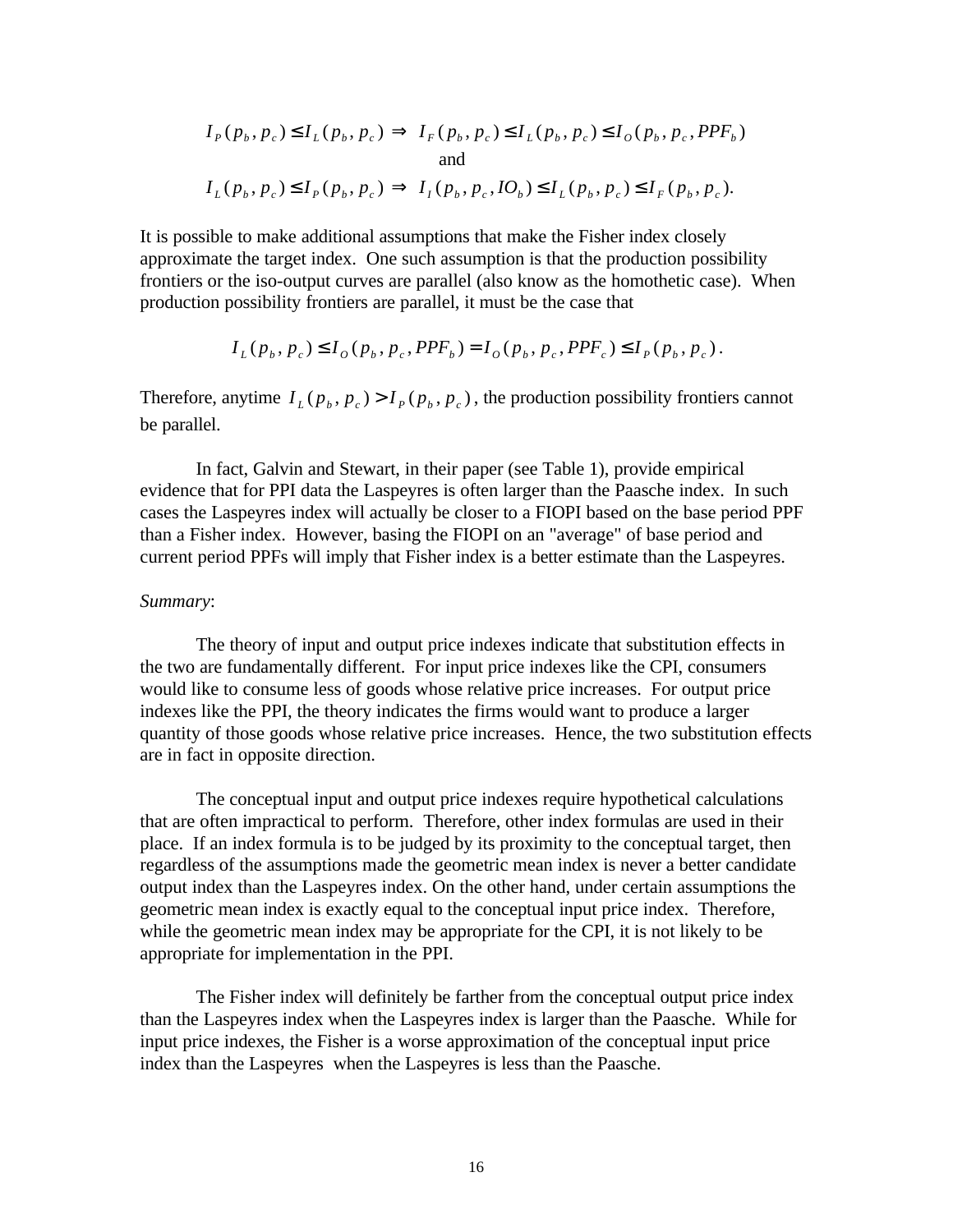$$
I_{P}(p_{b}, p_{c}) \leq I_{L}(p_{b}, p_{c}) \Rightarrow I_{F}(p_{b}, p_{c}) \leq I_{L}(p_{b}, p_{c}) \leq I_{O}(p_{b}, p_{c}, PPF_{b})
$$
  
and  

$$
I_{L}(p_{b}, p_{c}) \leq I_{P}(p_{b}, p_{c}) \Rightarrow I_{I}(p_{b}, p_{c}, IQ_{b}) \leq I_{L}(p_{b}, p_{c}) \leq I_{F}(p_{b}, p_{c}).
$$

It is possible to make additional assumptions that make the Fisher index closely approximate the target index. One such assumption is that the production possibility frontiers or the iso-output curves are parallel (also know as the homothetic case). When production possibility frontiers are parallel, it must be the case that

$$
I_L(p_b, p_c) \le I_O(p_b, p_c, PPF_b) = I_O(p_b, p_c, PPF_c) \le I_P(p_b, p_c).
$$

Therefore, anytime  $I_L(p_b, p_c) > I_P(p_b, p_c)$ , the production possibility frontiers cannot be parallel.

In fact, Galvin and Stewart, in their paper (see Table 1), provide empirical evidence that for PPI data the Laspeyres is often larger than the Paasche index. In such cases the Laspeyres index will actually be closer to a FIOPI based on the base period PPF than a Fisher index. However, basing the FIOPI on an "average" of base period and current period PPFs will imply that Fisher index is a better estimate than the Laspeyres.

#### *Summary*:

The theory of input and output price indexes indicate that substitution effects in the two are fundamentally different. For input price indexes like the CPI, consumers would like to consume less of goods whose relative price increases. For output price indexes like the PPI, the theory indicates the firms would want to produce a larger quantity of those goods whose relative price increases. Hence, the two substitution effects are in fact in opposite direction.

The conceptual input and output price indexes require hypothetical calculations that are often impractical to perform. Therefore, other index formulas are used in their place. If an index formula is to be judged by its proximity to the conceptual target, then regardless of the assumptions made the geometric mean index is never a better candidate output index than the Laspeyres index. On the other hand, under certain assumptions the geometric mean index is exactly equal to the conceptual input price index. Therefore, while the geometric mean index may be appropriate for the CPI, it is not likely to be appropriate for implementation in the PPI.

The Fisher index will definitely be farther from the conceptual output price index than the Laspeyres index when the Laspeyres index is larger than the Paasche. While for input price indexes, the Fisher is a worse approximation of the conceptual input price index than the Laspeyres when the Laspeyres is less than the Paasche.